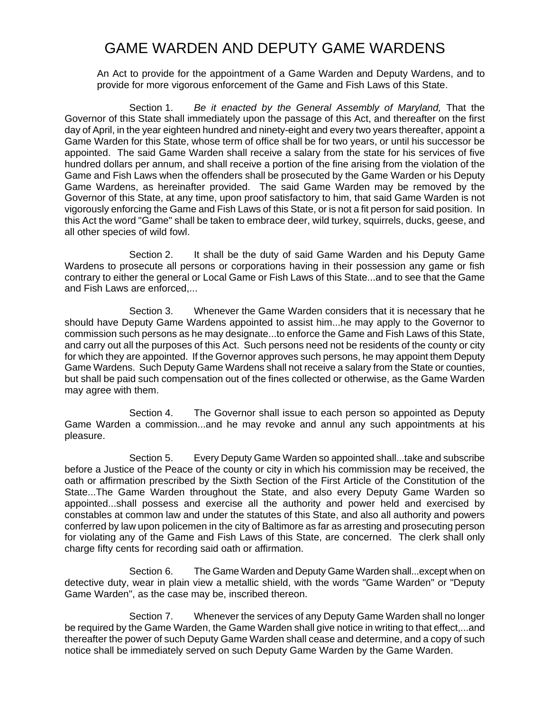## GAME WARDEN AND DEPUTY GAME WARDENS

An Act to provide for the appointment of a Game Warden and Deputy Wardens, and to provide for more vigorous enforcement of the Game and Fish Laws of this State.

Section 1. *Be it enacted by the General Assembly of Maryland,* That the Governor of this State shall immediately upon the passage of this Act, and thereafter on the first day of April, in the year eighteen hundred and ninety-eight and every two years thereafter, appoint a Game Warden for this State, whose term of office shall be for two years, or until his successor be appointed. The said Game Warden shall receive a salary from the state for his services of five hundred dollars per annum, and shall receive a portion of the fine arising from the violation of the Game and Fish Laws when the offenders shall be prosecuted by the Game Warden or his Deputy Game Wardens, as hereinafter provided. The said Game Warden may be removed by the Governor of this State, at any time, upon proof satisfactory to him, that said Game Warden is not vigorously enforcing the Game and Fish Laws of this State, or is not a fit person for said position. In this Act the word "Game" shall be taken to embrace deer, wild turkey, squirrels, ducks, geese, and all other species of wild fowl.

Section 2. It shall be the duty of said Game Warden and his Deputy Game Wardens to prosecute all persons or corporations having in their possession any game or fish contrary to either the general or Local Game or Fish Laws of this State...and to see that the Game and Fish Laws are enforced,...

Section 3. Whenever the Game Warden considers that it is necessary that he should have Deputy Game Wardens appointed to assist him...he may apply to the Governor to commission such persons as he may designate...to enforce the Game and Fish Laws of this State, and carry out all the purposes of this Act. Such persons need not be residents of the county or city for which they are appointed. If the Governor approves such persons, he may appoint them Deputy Game Wardens. Such Deputy Game Wardens shall not receive a salary from the State or counties, but shall be paid such compensation out of the fines collected or otherwise, as the Game Warden may agree with them.

Section 4. The Governor shall issue to each person so appointed as Deputy Game Warden a commission...and he may revoke and annul any such appointments at his pleasure.

Section 5. Every Deputy Game Warden so appointed shall...take and subscribe before a Justice of the Peace of the county or city in which his commission may be received, the oath or affirmation prescribed by the Sixth Section of the First Article of the Constitution of the State...The Game Warden throughout the State, and also every Deputy Game Warden so appointed...shall possess and exercise all the authority and power held and exercised by constables at common law and under the statutes of this State, and also all authority and powers conferred by law upon policemen in the city of Baltimore as far as arresting and prosecuting person for violating any of the Game and Fish Laws of this State, are concerned. The clerk shall only charge fifty cents for recording said oath or affirmation.

Section 6. The Game Warden and Deputy Game Warden shall...except when on detective duty, wear in plain view a metallic shield, with the words "Game Warden" or "Deputy Game Warden", as the case may be, inscribed thereon.

Section 7. Whenever the services of any Deputy Game Warden shall no longer be required by the Game Warden, the Game Warden shall give notice in writing to that effect,...and thereafter the power of such Deputy Game Warden shall cease and determine, and a copy of such notice shall be immediately served on such Deputy Game Warden by the Game Warden.